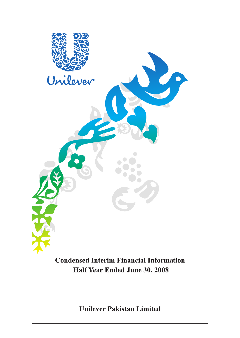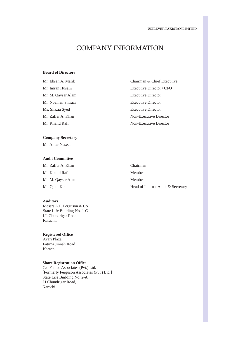# COMPANY INFORMATION

# **Board of Directors**

Mr. M. Qaysar Alam Executive Director Mr. Noeman Shirazi Executive Director Ms. Shazia Syed Executive Director

# **Company Secretary**

Mr. Amar Naseer

#### **Audit Committee**

Mr. Zaffar A. Khan Chairman Mr. Khalid Rafi Member Mr. M. Qaysar Alam Member

### **Auditors**

Messrs A.F. Ferguson & Co. State Life Building No. 1-C I.I. Chundrigar Road Karachi.

# **Registered Office**

Avari Plaza Fatima Jinnah Road Karachi.

# **Share Registration Office**

C/o Famco Associates (Pvt.) Ltd. [Formerly Ferguson Associates (Pvt.) Ltd.] State Life Building No. 2-A I.I Chundrigar Road, Karachi.

Mr. Ehsan A. Malik Chairman & Chief Executive Mr. Imran Husain Executive Director / CFO Mr. Zaffar A. Khan Non-Executive Director Mr. Khalid Rafi Non-Executive Director

Mr. Qanit Khalil **Head of Internal Audit & Secretary**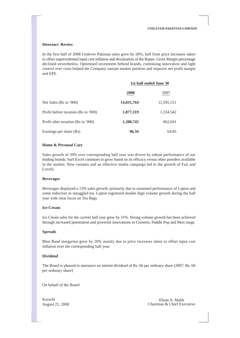#### **Directors' Review**

In the first half of 2008 Unilever Pakistan sales grew by 28%, half from price increases taken to offset unprecedented input cost inflation and devaluation of the Rupee. Gross Margin percentage declined nevertheless. Optimised investment behind brands, continuing innovation and tight control over costs helped the Company sustain market position and improve net profit margin and EPS.

|                                     | 1st half ended June 30 |            |  |
|-------------------------------------|------------------------|------------|--|
|                                     | 2008                   | 2007       |  |
| Net Sales (Rs in '000)              | 14,831,764             | 11,595,151 |  |
| Profit before taxation (Rs in '000) | 1,877,319              | 1,334,542  |  |
| Profit after taxation (Rs in '000)  | 1,280,745              | 862,041    |  |
| Earnings per share (Rs)             | 96.34                  | 64.85      |  |

# **Home & Personal Care**

Sales growth of 39% over corresponding half year was driven by robust performance of our leading brands. Surf Excel continues to grow based on its efficacy versus other powders available in the market. New variants and an effective media campaign led to the growth of Fair and Lovely.

#### **Beverages**

Beverages displayed a 13% sales growth, primarily due to sustained performance of Lipton and some reduction in smuggled tea. Lipton registered double digit volume growth during the half year with clear focus on Tea Bags.

### **Ice Cream**

Ice Cream sales for the current half year grew by 31%. Strong volume growth has been achieved through increased penetration and powerful innovations in Cornetto, Paddle Pop and Moo range.

#### **Spreads**

Blue Band margarine grew by 20% mainly due to price increases taken to offset input cost inflation over the corresponding half year.

# **Dividend**

The Board is pleased to announce an interim dividend of Rs. 66 per ordinary share (2007: Rs. 60 per ordinary share)

On behalf of the Board

Karachi Ehsan A. Malik<br>August 21, 2008 Chairman & Chief Exe Chairman & Chief Executive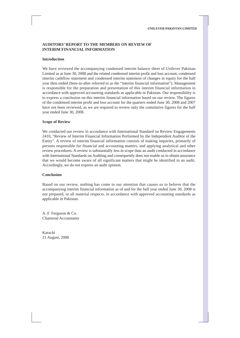# **AUDITORS' REPORT TO THE MEMBERS ON REVIEW OF INTERIM FINANCIAL INFORMATION**

#### **Introduction**

We have reviewed the accompanying condensed interim balance sheet of Unilever Pakistan Limited as at June 30, 2008 and the related condensed interim profit and loss account, condensed interim cashflow statement and condensed interim statement of changes in equity for the half year then ended (here-in-after referred to as the "interim financial information"). Management is responsible for the preparation and presentation of this interim financial information in accordance with approved accounting standards as applicable in Pakistan. Our responsibility is to express a conclusion on this interim financial information based on our review. The figures of the condensed interim profit and loss account for the quarters ended June 30, 2008 and 2007 have not been reviewed, as we are required to review only the cumulative figures for the half year ended June 30, 2008.

#### **Scope of Review**

We conducted our review in accordance with International Standard on Review Engagements 2410, "Review of Interim Financial Information Performed by the Independent Auditor of the Entity". A review of interim financial information consists of making inquiries, primarily of persons responsible for financial and accounting matters, and applying analytical and other review procedures. A review is substantially less in scope than an audit conducted in accordance with International Standards on Auditing and consequently does not enable us to obtain assurance that we would become aware of all significant matters that might be identified in an audit. Accordingly, we do not express an audit opinion.

#### **Conclusion**

Based on our review, nothing has come to our attention that causes us to believe that the accompanying interim financial information as of and for the half year ended June 30, 2008 is not prepared, in all material respects, in accordance with approved accounting standards as applicable in Pakistan.

A. F. Ferguson & Co. Chartered Accountants

Karachi 21 August, 2008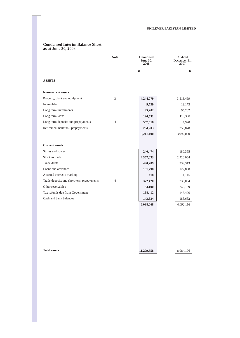#### **Condensed Interim Balance Sheet as at June 30, 2008**

|                                           | <b>Note</b>    | <b>Unaudited</b><br><b>June 30,</b><br>2008 | Audited<br>December 31,<br>2007 |
|-------------------------------------------|----------------|---------------------------------------------|---------------------------------|
|                                           |                |                                             |                                 |
| <b>ASSETS</b>                             |                |                                             |                                 |
| Non-current assets                        |                |                                             |                                 |
| Property, plant and equipment             | 3              | 4,244,079                                   | 3,513,499                       |
| Intangibles                               |                | 9,739                                       | 12,173                          |
| Long term investments                     |                | 95,202                                      | 95,202                          |
| Long term loans                           |                | 120,651                                     | 115,388                         |
| Long term deposits and prepayments        | $\overline{4}$ | 567,616                                     | 4,920                           |
| Retirement benefits - prepayments         |                | 204,203                                     | 250,878                         |
|                                           |                | 5,241,490                                   | 3,992,060                       |
|                                           |                |                                             |                                 |
| <b>Current assets</b>                     |                |                                             |                                 |
| Stores and spares                         |                | 240,474                                     | 180,355                         |
| Stock in trade                            |                | 4,367,033                                   | 2,726,064                       |
| Trade debts                               |                | 490,289                                     | 239,313                         |
| Loans and advances                        |                | 151,798                                     | 122,888                         |
| Accrued interest / mark up                |                | 118                                         | 1,115                           |
| Trade deposits and short term prepayments | $\overline{4}$ | 372,420                                     | 236,064                         |
| Other receivables                         |                | 84,190                                      | 249,139                         |
| Tax refunds due from Government           |                | 188,412                                     | 148,496                         |
| Cash and bank balances                    |                | 143,334                                     | 188,682                         |
|                                           |                | 6,038,068                                   | 4,092,116                       |

**Total assets** 

**11,279,558** 

8,084,176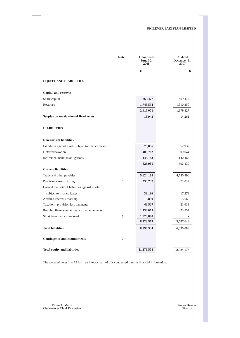|                                                      | <b>Note</b> | <b>Unaudited</b><br><b>June 30,</b><br>2008 | Audited<br>December 31,<br>2007 |
|------------------------------------------------------|-------------|---------------------------------------------|---------------------------------|
|                                                      |             |                                             |                                 |
| <b>EQUITY AND LIABILITIES</b>                        |             |                                             |                                 |
| <b>Capital and reserves</b>                          |             |                                             |                                 |
| Share capital                                        |             | 669,477                                     | 669,477                         |
| Reserves                                             |             | 1,745,594                                   | 1,310,350                       |
|                                                      |             | 2,415,071                                   | 1,979,827                       |
| Surplus on revaluation of fixed assets               |             | 13,943                                      | 14,261                          |
| <b>LIABILITIES</b>                                   |             |                                             |                                 |
| <b>Non-current liabilities</b>                       |             |                                             |                                 |
| Liabilities against assets subject to finance leases |             | 75,056                                      | 52,932                          |
| Deferred taxation                                    |             | 408,782                                     | 309,044                         |
| Retirement benefits obligations                      |             | 143,143                                     | 140,463                         |
|                                                      |             | 626,981                                     | 502,439                         |
| <b>Current liabilities</b>                           |             |                                             |                                 |
| Trade and other payables                             |             | 5,624,188                                   | 4,750,490                       |
| Provision - restructuring                            | 5           | 333,737                                     | 371,027                         |
| Current maturity of liabilities against assets       |             |                                             |                                 |
| subject to finance leases                            |             | 39,186                                      | 17,273                          |
| Accrued interest / mark up                           |             | 19,850                                      | 3,669                           |
| Taxation - provision less payments                   |             | 42,527                                      | 21,633                          |
| Running finance under mark up arrangements           |             | 1,138,075                                   | 423,557                         |
| Short term loan - unsecured                          | 6           | 1,026,000                                   |                                 |
|                                                      |             | 8,223,563                                   | 5,587,649                       |
| <b>Total liabilities</b>                             |             | 8,850,544                                   | 6,090,088                       |
| <b>Contingency and commitments</b>                   | 7           |                                             |                                 |
| <b>Total equity and liabilities</b>                  |             | 11,279,558                                  | 8,084,176                       |

The annexed notes 1 to 13 form an integral part of this condensed interim financial information.

Ehsan A. Malik Imran Husain Chairman & Chief Executive Director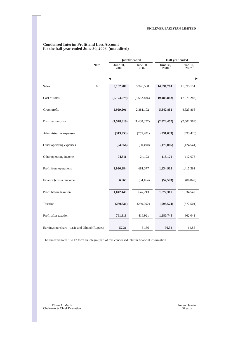|                                                 |             | <b>Ouarter</b> ended    |                  | Half year ended         |                  |  |
|-------------------------------------------------|-------------|-------------------------|------------------|-------------------------|------------------|--|
|                                                 | <b>Note</b> | <b>June 30,</b><br>2008 | June 30,<br>2007 | <b>June 30,</b><br>2008 | June 30,<br>2007 |  |
|                                                 |             |                         |                  |                         |                  |  |
| <b>Sales</b>                                    | 8           | 8,102,780               | 5,943,588        | 14,831,764              | 11,595,151       |  |
| Cost of sales                                   |             | (5,173,579)             | (3,562,486)      | (9,488,882)             | (7,071,283)      |  |
| Gross profit                                    |             | 2,929,201               | 2,381,102        | 5,342,882               | 4,523,868        |  |
| Distribution costs                              |             | (1,578,819)             | (1,408,077)      | (2,824,452)             | (2,602,589)      |  |
| Administrative expenses                         |             | (313,953)               | (255, 281)       | (531, 633)              | (493, 420)       |  |
| Other operating expenses                        |             | (94, 856)               | (60, 490)        | (170,066)               | (124, 541)       |  |
| Other operating income                          |             | 94,811                  | 24,123           | 118,171                 | 112,073          |  |
| Profit from operations                          |             | 1,036,384               | 681,377          | 1,934,902               | 1,415,391        |  |
| Finance (costs) / income                        |             | 6,065                   | (34, 164)        | (57, 583)               | (80, 849)        |  |
| Profit before taxation                          |             | 1,042,449               | 647,213          | 1,877,319               | 1,334,542        |  |
| Taxation                                        |             | (280, 631)              | (230, 292)       | (596, 574)              | (472, 501)       |  |
| Profit after taxation                           |             | 761,818                 | 416,921          | 1,280,745               | 862,041          |  |
| Earnings per share - basic and diluted (Rupees) |             | 57.31                   | 31.36            | 96.34                   | 64.85            |  |

## **Condensed Interim Profit and Loss Account for the half year ended June 30, 2008 (unaudited)**

The annexed notes 1 to 13 form an integral part of this condensed interim financial information.

Ehsan A. Malik Imran Husain Chairman & Chief Executive Director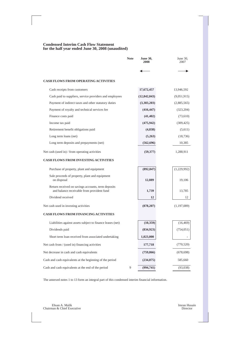# **Condensed Interim Cash Flow Statement for the half year ended June 30, 2008 (unaudited)**

|                                                                                                  | <b>Note</b> | <b>June 30,</b><br>2008 | June 30,<br>2007 |
|--------------------------------------------------------------------------------------------------|-------------|-------------------------|------------------|
|                                                                                                  |             |                         |                  |
| <b>CASH FLOWS FROM OPERATING ACTIVITIES</b>                                                      |             |                         |                  |
| Cash receipts from customers                                                                     |             | 17,672,457              | 13,946,592       |
| Cash paid to suppliers, service providers and employees                                          |             | (12, 842, 043)          | (9,051,915)      |
| Payment of indirect taxes and other statutory duties                                             |             | (3,383,203)             | (2,885,565)      |
| Payment of royalty and technical services fee                                                    |             | (416, 447)              | (323, 204)       |
| Finance costs paid                                                                               |             | (41, 402)               | (73,610)         |
| Income tax paid                                                                                  |             | (475, 942)              | (309, 425)       |
| Retirement benefit obligations paid                                                              |             | (4,838)                 | (5,611)          |
| Long term loans (net)                                                                            |             | (5,263)                 | (18, 736)        |
| Long term deposits and prepayments (net)                                                         |             | (562, 696)              | 10,385           |
| Net cash (used in) / from operating activities                                                   |             | (59, 377)               | 1,288,911        |
| <b>CASH FLOWS FROM INVESTING ACTIVITIES</b>                                                      |             |                         |                  |
| Purchase of property, plant and equipment                                                        |             | (892, 847)              | (1,229,992)      |
| Sale proceeds of property, plant and equipment<br>on disposal                                    |             | 12,889                  | 19,106           |
| Return received on savings accounts, term deposits<br>and balance receivable from provident fund |             | 1,739                   | 13,785           |
| Dividend received                                                                                |             | 12                      | 12               |
| Net cash used in investing activities                                                            |             | (878, 207)              | (1,197,089)      |
| <b>CASH FLOWS FROM FINANCING ACTIVITIES</b>                                                      |             |                         |                  |
| Liabilities against assets subject to finance leases (net)                                       |             | (10, 359)               | (16, 469)        |
| Dividends paid                                                                                   |             | (834, 923)              | (754, 051)       |
| Short term loan received from associated undertaking                                             |             | 1,023,000               |                  |
| Net cash from / (used in) financing activities                                                   |             | 177,718                 | (770, 520)       |
| Net decrease in cash and cash equivalents                                                        |             | (759, 866)              | (678, 698)       |
| Cash and cash equivalents at the beginning of the period                                         |             | (234, 875)              | 585,660          |
| Cash and cash equivalents at the end of the period                                               | 9           | (994,741)               | (93,038)         |

The annexed notes 1 to 13 form an integral part of this condensed interim financial information.

Ehsan A. Malik Imran Husain Chairman & Chief Executive Director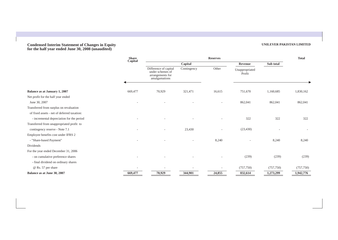#### **Condensed Interim Statement of Changes in Equity for the half year ended June 30, 2008 (unaudited)**

#### **Balance as at January 1, 2007**  Net profit for the half year ended June 30, 2007 Transferred from surplus on revaluation of fixed assets - net of deferred taxation: - incremental depreciation for the period Transferred from unappropriated profit to contingency reserve - Note 7.1 Employee benefits cost under IFRS 2 - "Share-based Payment" Dividends For the year ended December 31, 2006 - on cumulative preference shares - final dividend on ordinary shares @ Rs. 57 per share **Balance as at June 30, 2007 Share Reserves Reserves** Reserves and the state of  $\mathbb{R}$ **Capital Capital Revenue Sub total Revenue** Sub total Difference of capital Contingency Other Unappropriated under schemes of Profit arrangements for arrangements for<br>amalgamations 669,477 ŀ  $\overline{a}$ - - - - **669,477** 70,929  $\overline{a}$  $\overline{a}$ -  $\overline{a}$  $\overline{a}$  $\overline{a}$ **70,929** 321,471 ÷,  $\overline{a}$ 23,430 ÷,  $\overline{a}$  $\overline{a}$ **344,901** 16,615 ÷,  $\overline{a}$  $\overline{a}$ 8,240 ÷,  $\overline{a}$ **24,855** 751,670 862,041 322 (23,430) - (239) (757,750)  **832,614**  1,160,685 1,830,162 862,041 862,041 322 322 **-** *Company* and *Company* 8,240 8,240 (239) (239) (757,750) (757,750) **1,273,299 1,942,776**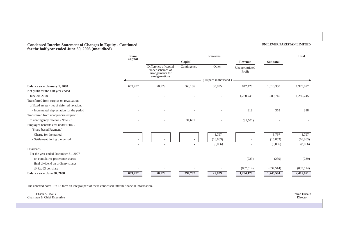#### **Condensed Interim Statement of Changes in Equity - Continued for the half year ended June 30, 2008 (unaudited)**

|                                             | <b>Share</b>             | <b>Reserves</b>                                                                |             |                      | <b>Total</b>             |           |           |
|---------------------------------------------|--------------------------|--------------------------------------------------------------------------------|-------------|----------------------|--------------------------|-----------|-----------|
|                                             | Capital                  |                                                                                | Capital     |                      | Revenue                  | Sub total |           |
|                                             |                          | Difference of capital<br>under schemes of<br>arrangements for<br>amalgamations | Contingency | Other                | Unappropriated<br>Profit |           |           |
|                                             |                          |                                                                                |             | (Rupees in thousand) |                          |           |           |
| Balance as at January 1, 2008               | 669,477                  | 70,929                                                                         | 363,106     | 33,895               | 842,420                  | 1,310,350 | 1,979,827 |
| Net profit for the half year ended          |                          |                                                                                |             |                      |                          |           |           |
| June 30, 2008                               |                          |                                                                                |             |                      | 1,280,745                | 1,280,745 | 1,280,745 |
| Transferred from surplus on revaluation     |                          |                                                                                |             |                      |                          |           |           |
| of fixed assets - net of deferred taxation: |                          |                                                                                |             |                      |                          |           |           |
| - incremental depreciation for the period   |                          |                                                                                |             |                      | 318                      | 318       | 318       |
| Transferred from unappropriated profit      |                          |                                                                                |             |                      |                          |           |           |
| to contingency reserve - Note 7.1           |                          | $\overline{\phantom{a}}$                                                       | 31,601      | $\sim$               | (31,601)                 |           |           |
| Employee benefits cost under IFRS 2         |                          |                                                                                |             |                      |                          |           |           |
| - "Share-based Payment"                     |                          |                                                                                |             |                      |                          |           |           |
| - Charge for the period                     |                          |                                                                                |             | 8,797                |                          | 8,797     | 8,797     |
| - Settlement during the period              |                          |                                                                                |             | (16, 863)            |                          | (16, 863) | (16, 863) |
|                                             | $\overline{\phantom{a}}$ | ۰                                                                              |             | (8,066)              |                          | (8,066)   | (8,066)   |
| Dividends                                   |                          |                                                                                |             |                      |                          |           |           |
| For the year ended December 31, 2007        |                          |                                                                                |             |                      |                          |           |           |
| - on cumulative preference shares           |                          |                                                                                |             |                      | (239)                    | (239)     | (239)     |
| - final dividend on ordinary shares         |                          |                                                                                |             |                      |                          |           |           |
| @ Rs. 63 per share                          |                          |                                                                                |             |                      | (837,514)                | (837,514) | (837,514) |
| Balance as at June 30, 2008                 | 669,477                  | 70,929                                                                         | 394,707     | 25,829               | 1,254,129                | 1,745,594 | 2,415,071 |

The annexed notes 1 to 13 form an integral part of these condensed interim financial information.

| $\overline{\phantom{a}}$<br>Ehsan A. Malik<br>Chairman & Chief Executive | $ -$<br>__<br>Imran Husain<br>Director |
|--------------------------------------------------------------------------|----------------------------------------|
|                                                                          |                                        |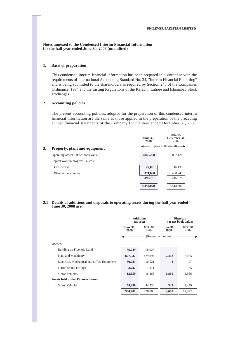**Notes annexed to the Condensed Interim Financial Information for the half year ended June 30, 2008 (unaudited)** 

## **1. Basis of preparation**

This condensed interim financial information has been prepared in accordance with the requirements of International Accounting Standard No. 34, "Interim Financial Reporting" and is being submitted to the shareholders as required by Section 245 of the Companies Ordinance, 1984 and the Listing Regulations of the Karachi, Lahore and Islamabad Stock Exchanges.

#### **2. Accounting policies**

The present accounting policies, adopted for the preparation of this condensed interim financial information are the same as those applied in the preparation of the preceding annual financial statements of the Company for the year ended December 31, 2007.

|                                      | <b>June 30,</b><br>2008 | Audited<br>December 31,<br>2007 |
|--------------------------------------|-------------------------|---------------------------------|
| 3.<br>Property, plant and equipment  |                         | $-(Rupees in thousand)$ —       |
| Operating assets - at net book value | 3,845,298               | 3,097,121                       |
| Capital work in progress - at cost   |                         |                                 |
| Civil works                          | 27,091                  | 16,133                          |
| Plant and machinery                  | 371,690                 | 400,245                         |
|                                      | 398,781                 | 416,378                         |
|                                      | 4,244,079               | 3,513,499                       |

#### **3.1 Details of additions and disposals to operating assets during the half year ended June 30, 2008 are:**

|                                             | <b>Additions</b><br>(at cost)                  |         |                         | <b>Disposals</b><br>(at net book value) |
|---------------------------------------------|------------------------------------------------|---------|-------------------------|-----------------------------------------|
|                                             | June $30$ ,<br><b>June 30,</b><br>2007<br>2008 |         | <b>June 30,</b><br>2008 | June $30$ ,<br>2007                     |
|                                             |                                                |         | (Rupees in thousand) –  |                                         |
| Owned                                       |                                                |         |                         |                                         |
| Building on Freehold Land                   | 36,749                                         | 18,026  |                         |                                         |
| Plant and Machinery                         | 827,937                                        | 429,094 | 2,402                   | 7,465                                   |
| Electrical, Mechanical and Office Equipment | 30,723                                         | 10,521  | $\overline{\mathbf{4}}$ | 27                                      |
| <b>Furniture and Fittings</b>               | 2,237                                          | 1,371   |                         | 25                                      |
| <b>Motor Vehicles</b>                       | 12,659                                         | 16,466  | 6,860                   | 2,956                                   |
| <b>Assets held under Finance Leases</b>     |                                                |         |                         |                                         |
| <b>Motor Vehicles</b>                       | 54,396                                         | 44,530  | 342                     | 2,449                                   |
|                                             | 964,701                                        | 520,008 | 9,608                   | 12,922                                  |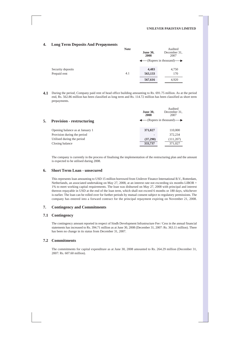# **4. Long Term Deposits And Prepayments**

|                   | <b>Note</b> | <b>June 30,</b><br>2008 | Audited<br>December 31,<br>2007                 |
|-------------------|-------------|-------------------------|-------------------------------------------------|
|                   |             |                         | $\leftarrow$ (Rupees in thousand) $\rightarrow$ |
| Security deposits |             | 4,483                   | 4,750                                           |
| Prepaid rent      | 4.1         | 563,133                 | 170                                             |
|                   |             | 567,616                 | 4,920                                           |

**4.1** During the period, Company paid rent of head office building amounting to Rs. 691.75 million. As at the period end, Rs. 562.86 million has been classified as long term and Rs. 114.72 million has been classified as short term prepayments.

|    |                                  | <b>June 30,</b><br>2008 | Audited<br>December 31,<br>2007                 |
|----|----------------------------------|-------------------------|-------------------------------------------------|
| 5. | <b>Provision - restructuring</b> |                         | $\leftarrow$ (Rupees in thousand) $\rightarrow$ |
|    | Opening balance as at January 1  | 371,027                 | 110,000                                         |
|    | Provision during the period      |                         | 372,234                                         |
|    | Utilised during the period       | (37,290)                | (111, 207)                                      |
|    | Closing balance                  | 333,737                 | 371,027                                         |

The company is currently in the process of finalising the implementation of the restructuring plan and the amount is expected to be utilised during 2008.

#### **6. Short Term Loan - unsecured**

This represents loan amounting to USD 15 million borrowed from Unilever Finance International B.V., Rotterdam, Netherlands, an associated undertaking on May 27, 2008, at an interest rate not exceeding six months LIBOR + 1% to meet working capital requirements. The loan was disbursed on May 27, 2008 with principal and interest thereon repayable in USD at the end of the loan term, which shall not exceed 6 months or 180 days, whichever is earlier. The loan can be rolled over for further periods by mutual consent subject to regulatory permissions. The company has entered into a forward contract for the principal repayment expiring on November 21, 2008.

#### **7. Contingency and Commitments**

#### **7.1 Contingency**

The contingency amount reported in respect of Sindh Development Infrastructure Fee / Cess in the annual financial statements has increased to Rs. 394.71 million as at June 30, 2008 (December 31, 2007: Rs. 363.11 million). There has been no change in its status from December 31, 2007.

## **7.2 Commitments**

The commitments for capital expenditure as at June 30, 2008 amounted to Rs. 264.29 million (December 31, 2007: Rs. 607.60 million).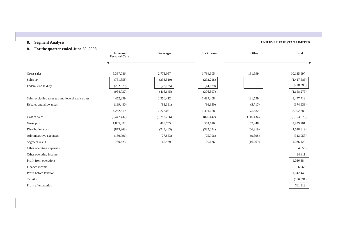# **8. Segment Analysis**

## **UNILEVER PAKISTAN LIMITED**

# **8.1 For the quarter ended June 30, 2008**

|                                                   | <b>Home</b> and<br><b>Personal Care</b> | <b>Beverages</b> | <b>Ice Cream</b> | Other      | <b>Total</b> |
|---------------------------------------------------|-----------------------------------------|------------------|------------------|------------|--------------|
|                                                   |                                         |                  |                  |            |              |
| Gross sales                                       | 5,387,036                               | 2,773,057        | 1,794,305        | 181,599    | 10,135,997   |
| Sales tax                                         | (731, 858)                              | (393, 510)       | (292, 218)       |            | (1,417,586)  |
| Federal excise duty                               | (202, 879)                              | (23, 135)        | (14,679)         |            | (240, 693)   |
|                                                   | (934, 737)                              | (416, 645)       | (306, 897)       |            | (1,658,279)  |
| Sales excluding sales tax and federal excise duty | 4,452,299                               | 2,356,412        | 1,487,408        | 181,599    | 8,477,718    |
| Rebates and allowances                            | (199, 480)                              | (83, 391)        | (86,350)         | (5,717)    | (374, 938)   |
|                                                   | 4,252,819                               | 2,273,021        | 1,401,058        | 175,882    | 8,102,780    |
| Cost of sales                                     | (2,447,437)                             | (1,783,266)      | (826, 442)       | (116, 434) | (5,173,579)  |
| Gross profit                                      | 1,805,382                               | 489,755          | 574,616          | 59,448     | 2,929,201    |
| Distribution costs                                | (873,963)                               | (249, 463)       | (389, 074)       | (66,319)   | (1,578,819)  |
| Administrative expenses                           | (150,796)                               | (77, 853)        | (75,906)         | (9,398)    | (313,953)    |
| Segment result                                    | 780,623                                 | 162,439          | 109,636          | (16,269)   | 1,036,429    |
| Other operating expenses                          |                                         |                  |                  |            | (94, 856)    |
| Other operating income                            |                                         |                  |                  |            | 94,811       |
| Profit from operations                            |                                         |                  |                  |            | 1,036,384    |
| Finance income                                    |                                         |                  |                  |            | 6,065        |
| Profit before taxation                            |                                         |                  |                  |            | 1,042,449    |
| Taxation                                          |                                         |                  |                  |            | (280, 631)   |
| Profit after taxation                             |                                         |                  |                  |            | 761,818      |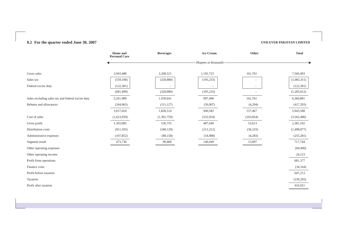# **8.2 For the quarter ended June 30, 2007 UNILEVER PAKISTAN LIMITED**

|                                                   | Home and<br><b>Personal Care</b> | <b>Beverages</b> | <b>Ice Cream</b>     | Other      | <b>Total</b> |
|---------------------------------------------------|----------------------------------|------------------|----------------------|------------|--------------|
|                                                   |                                  |                  | (Rupees in thousand) |            |              |
|                                                   |                                  |                  |                      |            |              |
| Gross sales                                       | 3,943,488                        | 2,268,521        | 1,192,723            | 161,761    | 7,566,493    |
| Sales tax                                         | (559, 198)                       | (328, 880)       | (195, 233)           |            | (1,083,311)  |
| Federal excise duty                               | (122, 301)                       |                  |                      |            | (122, 301)   |
|                                                   | (681, 499)                       | (328, 880)       | (195, 233)           |            | (1,205,612)  |
| Sales excluding sales tax and federal excise duty | 3,261,989                        | 1,939,641        | 997,490              | 161,761    | 6,360,881    |
| Rebates and allowances                            | (244,965)                        | (111, 127)       | (56,907)             | (4,294)    | (417,293)    |
|                                                   | 3,017,024                        | 1,828,514        | 940,583              | 157,467    | 5,943,588    |
| Cost of sales                                     | (1,623,939)                      | (1,301,759)      | (532, 934)           | (103, 854) | (3,562,486)  |
| Gross profit                                      | 1,393,085                        | 526,755          | 407,649              | 53,613     | 2,381,102    |
| Distribution costs                                | (811,503)                        | (348, 129)       | (212, 212)           | (36, 233)  | (1,408,077)  |
| Administrative expenses                           | (107, 852)                       | (88, 158)        | (54,988)             | (4,283)    | (255, 281)   |
| Segment result                                    | 473,730                          | 90,468           | 140,449              | 13,097     | 717,744      |
| Other operating expenses                          |                                  |                  |                      |            | (60, 490)    |
| Other operating income                            |                                  |                  |                      |            | 24,123       |
| Profit from operations                            |                                  |                  |                      |            | 681,377      |
| Finance costs                                     |                                  |                  |                      |            | (34, 164)    |
| Profit before taxation                            |                                  |                  |                      |            | 647,213      |
| Taxation                                          |                                  |                  |                      |            | (230, 292)   |
| Profit after taxation                             |                                  |                  |                      |            | 416,921      |
|                                                   |                                  |                  |                      |            |              |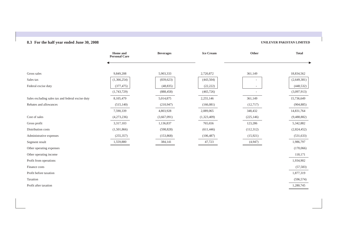# **8.3 For the half year ended June 30, 2008**

|                                                   | Home and<br><b>Personal Care</b> | <b>Beverages</b> | <b>Ice Cream</b> | Other      | <b>Total</b> |
|---------------------------------------------------|----------------------------------|------------------|------------------|------------|--------------|
|                                                   |                                  |                  |                  |            |              |
| Gross sales                                       | 9,849,208                        | 5,903,333        | 2,720,872        | 361,149    | 18,834,562   |
| Sales tax                                         | (1,366,254)                      | (839, 623)       | (443, 504)       | ٠          | (2,649,381)  |
| Federal excise duty                               | (377, 475)                       | (48, 835)        | (22, 222)        |            | (448, 532)   |
|                                                   | (1,743,729)                      | (888, 458)       | (465, 726)       |            | (3,097,913)  |
| Sales excluding sales tax and federal excise duty | 8,105,479                        | 5,014,875        | 2,255,146        | 361,149    | 15,736,649   |
| Rebates and allowances                            | (515, 140)                       | (210,947)        | (166, 081)       | (12,717)   | (904, 885)   |
|                                                   | 7,590,339                        | 4,803,928        | 2,089,065        | 348,432    | 14,831,764   |
| Cost of sales                                     | (4,273,236)                      | (3,667,091)      | (1,323,409)      | (225, 146) | (9,488,882)  |
| Gross profit                                      | 3,317,103                        | 1,136,837        | 765,656          | 123,286    | 5,342,882    |
| Distribution costs                                | (1,501,866)                      | (598, 828)       | (611, 446)       | (112, 312) | (2,824,452)  |
| Administrative expenses                           | (255, 357)                       | (153, 868)       | (106, 487)       | (15, 921)  | (531, 633)   |
| Segment result                                    | 1,559,880                        | 384,141          | 47,723           | (4,947)    | 1,986,797    |
| Other operating expenses                          |                                  |                  |                  |            | (170,066)    |
| Other operating income                            |                                  |                  |                  |            | 118,171      |
| Profit from operations                            |                                  |                  |                  |            | 1,934,902    |
| Finance costs                                     |                                  |                  |                  |            | (57, 583)    |
| Profit before taxation                            |                                  |                  |                  |            | 1,877,319    |
| Taxation                                          |                                  |                  |                  |            | (596, 574)   |
| Profit after taxation                             |                                  |                  |                  |            | 1,280,745    |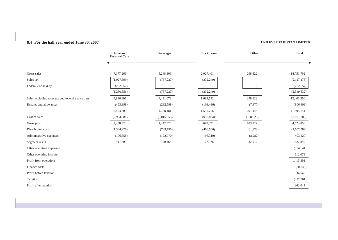# **8.4 For the half year ended June 30, 2007**

|                                                   | Home and<br><b>Personal Care</b> | <b>Beverages</b> | <b>Ice Cream</b> | Other      | <b>Total</b> |
|---------------------------------------------------|----------------------------------|------------------|------------------|------------|--------------|
|                                                   |                                  |                  |                  |            |              |
| Gross sales                                       | 7,177,263                        | 5,248,306        | 2,027,401        | 298,822    | 14,751,792   |
| Sales tax                                         | (1,027,699)                      | (757, 227)       | (332, 249)       |            | (2,117,175)  |
| Federal excise duty                               | (232, 657)                       |                  |                  |            | (232, 657)   |
|                                                   | (1,260,356)                      | (757, 227)       | (332, 249)       | ÷          | (2,349,832)  |
| Sales excluding sales tax and federal excise duty | 5,916,907                        | 4,491,079        | 1,695,152        | 298,822    | 12,401,960   |
| Rebates and allowances                            | (463,398)                        | (232, 598)       | (103, 436)       | (7,377)    | (806, 809)   |
|                                                   | 5,453,509                        | 4,258,481        | 1,591,716        | 291,445    | 11,595,151   |
| Cost of sales                                     | (2,954,581)                      | (3,015,555)      | (912, 824)       | (188, 323) | (7,071,283)  |
| Gross profit                                      | 2,498,928                        | 1,242,926        | 678,892          | 103,122    | 4,523,868    |
| Distribution costs                                | (1,384,370)                      | (749,790)        | (406, 506)       | (61, 923)  | (2,602,589)  |
| Administrative expenses                           | (196, 858)                       | (192,970)        | (95,310)         | (8, 282)   | (493, 420)   |
| Segment result                                    | 917,700                          | 300,166          | 177,076          | 32,917     | 1,427,859    |
| Other operating expenses                          |                                  |                  |                  |            | (124, 541)   |
| Other operating income                            |                                  |                  |                  |            | 112,073      |
| Profit from operations                            |                                  |                  |                  |            | 1,415,391    |
| Finance costs                                     |                                  |                  |                  |            | (80, 849)    |
| Profit before taxation                            |                                  |                  |                  |            | 1,334,542    |
| Taxation                                          |                                  |                  |                  |            | (472,501)    |
| Profit after taxation                             |                                  |                  |                  |            | 862,041      |
|                                                   |                                  |                  |                  |            |              |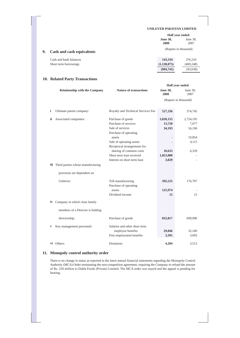**(994,741)** (93,038)

|    |                           | Half year ended         |                      |  |
|----|---------------------------|-------------------------|----------------------|--|
|    |                           | <b>June 30,</b><br>2008 | June $30$ ,<br>2007  |  |
| 9. | Cash and cash equivalents |                         | (Rupees in thousand) |  |
|    | Cash and bank balances    | 143,334                 | 376,210              |  |
|    | Short term borrowings     | (1, 138, 075)           | (469, 248)           |  |

# **10. Related Party Transactions**

|     |                                       |                                    |                         | Half year ended  |  |
|-----|---------------------------------------|------------------------------------|-------------------------|------------------|--|
|     | <b>Relationship with the Company</b>  | <b>Nature of transactions</b>      | <b>June 30,</b><br>2008 | June 30,<br>2007 |  |
|     |                                       |                                    | (Rupees in thousand)    |                  |  |
|     |                                       |                                    |                         |                  |  |
| i   | Ultimate parent company:              | Royalty and Technical Services Fee | 527,336                 | 374,745          |  |
| ii. | Associated companies:                 | Purchase of goods                  | 3,028,155               | 2,724,195        |  |
|     |                                       | Purchase of services               | 13,720                  | 7,077            |  |
|     |                                       | Sale of services                   | 34,193                  | 16,196           |  |
|     |                                       | Purchase of operating              |                         |                  |  |
|     |                                       | assets                             |                         | 19,854           |  |
|     |                                       | Sale of operating assets           |                         | 4,115            |  |
|     |                                       | Reciprocal arrangements for        |                         |                  |  |
|     |                                       | sharing of common costs            | 10,633                  | 6,339            |  |
|     |                                       | Short term loan received           | 1,023,000               |                  |  |
|     |                                       | Interest on short term loan        | 3,829                   |                  |  |
|     | iii Third parties whose manufacturing |                                    |                         |                  |  |
|     | processes are dependent on            |                                    |                         |                  |  |
|     | Unilever:                             | Toll manufacturing                 | 392,525                 | 176,707          |  |
|     |                                       | Purchase of operating              |                         |                  |  |
|     |                                       | assets                             | 125,974                 |                  |  |
|     |                                       | Dividend income                    | 12                      | 12               |  |
|     |                                       |                                    |                         |                  |  |
|     | iv Company in which close family      |                                    |                         |                  |  |
|     | members of a Director is holding      |                                    |                         |                  |  |
|     | directorship:                         | Purchase of goods                  | 832,817                 | 699,990          |  |
| V   | Key management personnel:             | Salaries and other short term      |                         |                  |  |
|     |                                       | employee benefits                  | 29,846                  | 32,160           |  |
|     |                                       | Post employment benefits           | 3,391                   | 3,093            |  |
|     |                                       |                                    |                         |                  |  |
|     | vi Others:                            | Donations                          | 4.204                   | 3,513            |  |

# **11. Monopoly control authority order**

There is no change in status as reported in the latest annual financial statements regarding the Monopoly Control Authority (MCA) Order terminating the non-competition agreement, requiring the Company to refund the amount of Rs. 250 million to Dalda Foods (Private) Limited. The MCA order was stayed and the appeal is pending for hearing.